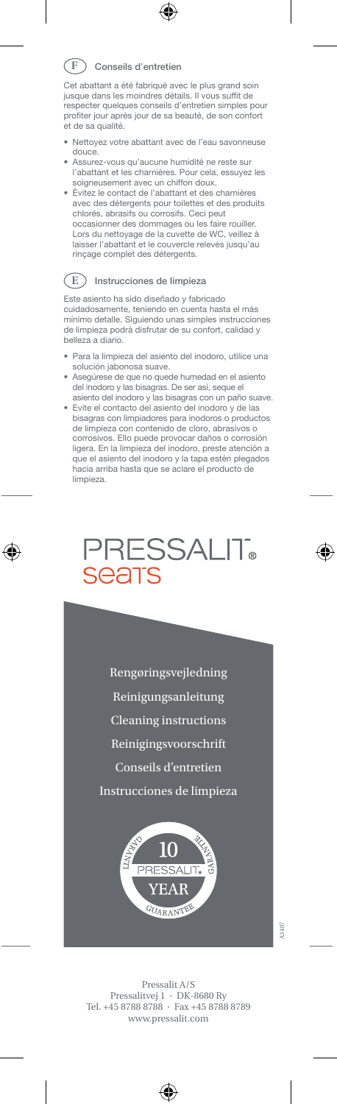#### Conseils d'entretien **F**

Cet abattant <sup>a</sup> été fabriqué avec le plus grand soin jusque dans les moindres détails. Il vous suffit de respecter quelques conseils d'entretien simples pour profiter jour après jour de sa beauté, de son confort et de sa qualité.

- Nettoyez votre abattant avec de l'eau savonneuse douce.
- Assurez-vous qu'aucune humidité ne reste sur l'abattant et les charnières. Pour cela, essuyez les soigneusement avec un chiffon doux.
- Évitez le contact de l'abattant et des charnières avec des détergents pour toilettes et des produits chlorés, abrasifs ou corrosifs. Ceci peut occasionner des dommages ou les faire rouiller. Lors du nettoyage de la cuvette de WC, veillez à laisser l'abattant et le couvercle relevés jusqu'au rinçage complet des détergents.

### Instrucciones de Iimpieza **E**

Este asiento ha sido diseñado y fabricado cuidadosamente, teniendo en cuenta hasta el más mínimo detalle. Siguiendo unas simples instrucciones de limpieza podrá disfrutar de su confort, calidad y belleza a diario.

- Para la limpieza del asiento del inodoro, utilice una solución jabonosa suave.
- • Asegúrese de que no quede humedad en el asiento del inodoro y las bisagras. De ser así, seque el asiento del inodoro y las bisagras con un paño suave.
- Evite el contacto del asiento del inodoro y de las bisagras con limpiadores para inodoros <sup>o</sup> productos de limpieza con contenido de cloro, abrasivos <sup>o</sup> corrosivos. Ello puede provocar daños o corrosión ligera. En la limpieza del inodoro, preste atención a que el asiento del inodoro y la tapa estén plegados hacia arriba hasta que se aclare el producto de limpieza.



Rengøringsvejledning Reinigungsanleitung Cleaning instructions Reinigingsvoorschrift Conseils d'entretien

Instrucciones de limpieza